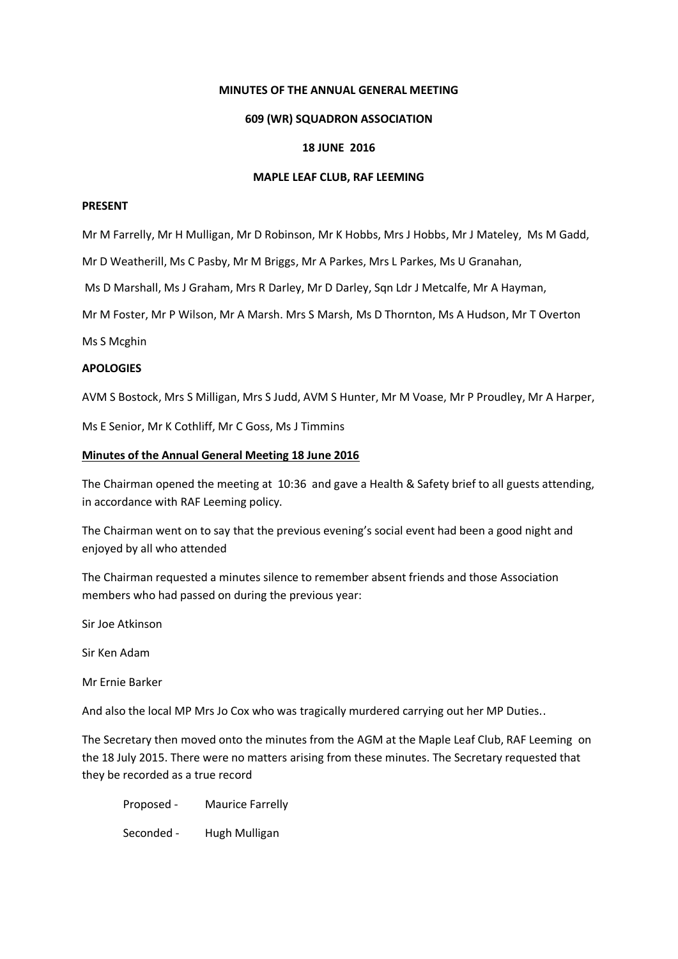### **MINUTES OF THE ANNUAL GENERAL MEETING**

### **609 (WR) SQUADRON ASSOCIATION**

### **18 JUNE 2016**

#### **MAPLE LEAF CLUB, RAF LEEMING**

## **PRESENT**

Mr M Farrelly, Mr H Mulligan, Mr D Robinson, Mr K Hobbs, Mrs J Hobbs, Mr J Mateley, Ms M Gadd,

Mr D Weatherill, Ms C Pasby, Mr M Briggs, Mr A Parkes, Mrs L Parkes, Ms U Granahan,

Ms D Marshall, Ms J Graham, Mrs R Darley, Mr D Darley, Sqn Ldr J Metcalfe, Mr A Hayman,

Mr M Foster, Mr P Wilson, Mr A Marsh. Mrs S Marsh, Ms D Thornton, Ms A Hudson, Mr T Overton

Ms S Mcghin

## **APOLOGIES**

AVM S Bostock, Mrs S Milligan, Mrs S Judd, AVM S Hunter, Mr M Voase, Mr P Proudley, Mr A Harper,

Ms E Senior, Mr K Cothliff, Mr C Goss, Ms J Timmins

#### **Minutes of the Annual General Meeting 18 June 2016**

The Chairman opened the meeting at 10:36 and gave a Health & Safety brief to all guests attending, in accordance with RAF Leeming policy.

The Chairman went on to say that the previous evening's social event had been a good night and enjoyed by all who attended

The Chairman requested a minutes silence to remember absent friends and those Association members who had passed on during the previous year:

Sir Joe Atkinson

Sir Ken Adam

Mr Ernie Barker

And also the local MP Mrs Jo Cox who was tragically murdered carrying out her MP Duties..

The Secretary then moved onto the minutes from the AGM at the Maple Leaf Club, RAF Leeming on the 18 July 2015. There were no matters arising from these minutes. The Secretary requested that they be recorded as a true record

Proposed - Maurice Farrelly Seconded - Hugh Mulligan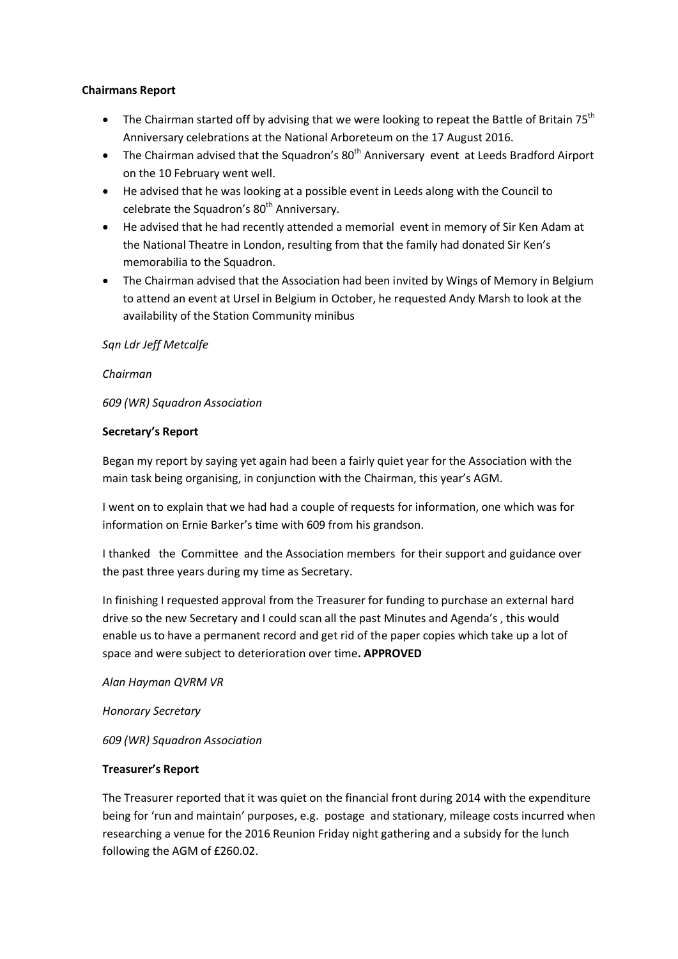# **Chairmans Report**

- The Chairman started off by advising that we were looking to repeat the Battle of Britain 75<sup>th</sup> Anniversary celebrations at the National Arboreteum on the 17 August 2016.
- The Chairman advised that the Squadron's  $80<sup>th</sup>$  Anniversary event at Leeds Bradford Airport on the 10 February went well.
- He advised that he was looking at a possible event in Leeds along with the Council to celebrate the Squadron's 80<sup>th</sup> Anniversary.
- He advised that he had recently attended a memorial event in memory of Sir Ken Adam at the National Theatre in London, resulting from that the family had donated Sir Ken's memorabilia to the Squadron.
- The Chairman advised that the Association had been invited by Wings of Memory in Belgium to attend an event at Ursel in Belgium in October, he requested Andy Marsh to look at the availability of the Station Community minibus

# *Sqn Ldr Jeff Metcalfe*

# *Chairman*

*609 (WR) Squadron Association*

# **Secretary's Report**

Began my report by saying yet again had been a fairly quiet year for the Association with the main task being organising, in conjunction with the Chairman, this year's AGM.

I went on to explain that we had had a couple of requests for information, one which was for information on Ernie Barker's time with 609 from his grandson.

I thanked the Committee and the Association members for their support and guidance over the past three years during my time as Secretary.

In finishing I requested approval from the Treasurer for funding to purchase an external hard drive so the new Secretary and I could scan all the past Minutes and Agenda's , this would enable us to have a permanent record and get rid of the paper copies which take up a lot of space and were subject to deterioration over time**. APPROVED**

*Alan Hayman QVRM VR*

*Honorary Secretary*

*609 (WR) Squadron Association*

# **Treasurer's Report**

The Treasurer reported that it was quiet on the financial front during 2014 with the expenditure being for 'run and maintain' purposes, e.g. postage and stationary, mileage costs incurred when researching a venue for the 2016 Reunion Friday night gathering and a subsidy for the lunch following the AGM of £260.02.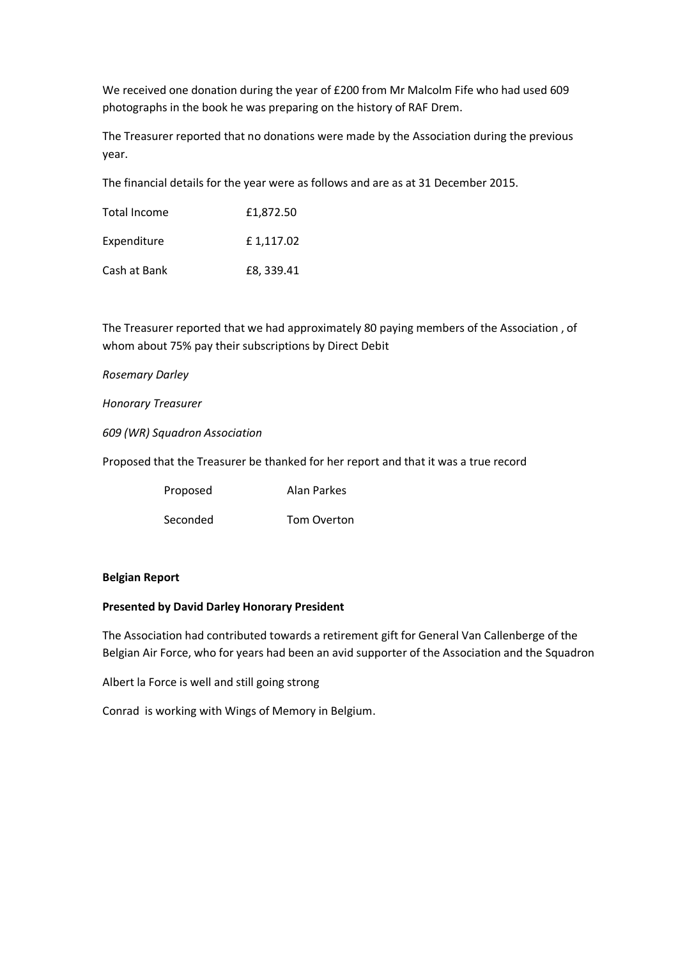We received one donation during the year of £200 from Mr Malcolm Fife who had used 609 photographs in the book he was preparing on the history of RAF Drem.

The Treasurer reported that no donations were made by the Association during the previous year.

The financial details for the year were as follows and are as at 31 December 2015.

| Total Income | £1.872.50 |
|--------------|-----------|
| Expenditure  | £1,117.02 |
| Cash at Bank | £8,339.41 |

The Treasurer reported that we had approximately 80 paying members of the Association , of whom about 75% pay their subscriptions by Direct Debit

## *Rosemary Darley*

*Honorary Treasurer*

*609 (WR) Squadron Association*

Proposed that the Treasurer be thanked for her report and that it was a true record

| Proposed | Alan Parkes        |
|----------|--------------------|
| Seconded | <b>Tom Overton</b> |

## **Belgian Report**

## **Presented by David Darley Honorary President**

The Association had contributed towards a retirement gift for General Van Callenberge of the Belgian Air Force, who for years had been an avid supporter of the Association and the Squadron

Albert la Force is well and still going strong

Conrad is working with Wings of Memory in Belgium.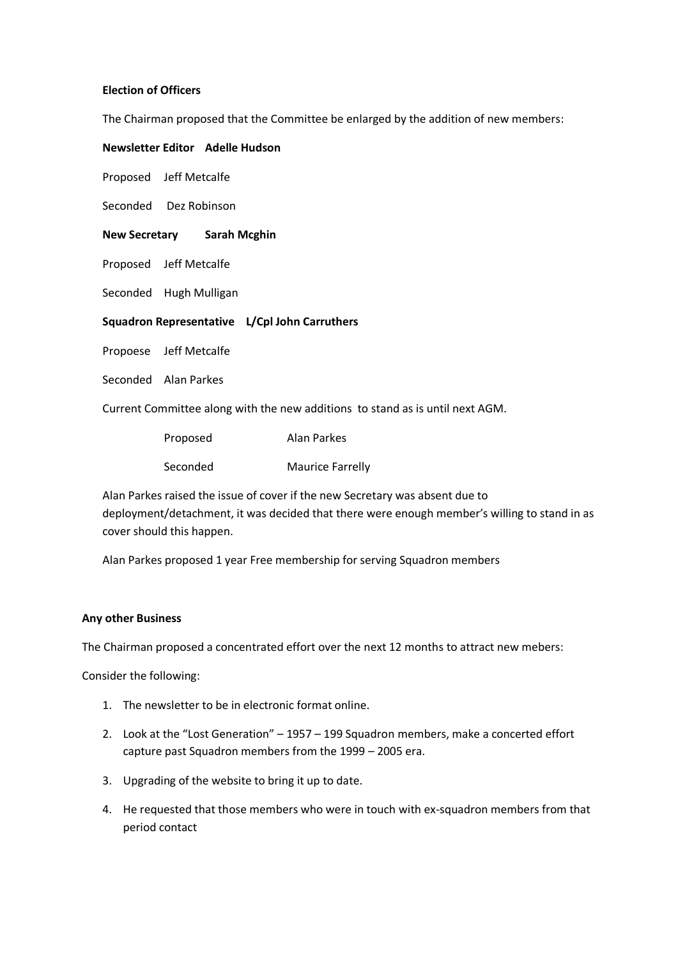## **Election of Officers**

The Chairman proposed that the Committee be enlarged by the addition of new members:

**Newsletter Editor Adelle Hudson**

Proposed Jeff Metcalfe

Seconded Dez Robinson

**New Secretary Sarah Mcghin**

Proposed Jeff Metcalfe

Seconded Hugh Mulligan

**Squadron Representative L/Cpl John Carruthers**

Propoese Jeff Metcalfe

Seconded Alan Parkes

Current Committee along with the new additions to stand as is until next AGM.

| Proposed | Alan Parkes             |
|----------|-------------------------|
| Seconded | <b>Maurice Farrelly</b> |

Alan Parkes raised the issue of cover if the new Secretary was absent due to deployment/detachment, it was decided that there were enough member's willing to stand in as cover should this happen.

Alan Parkes proposed 1 year Free membership for serving Squadron members

## **Any other Business**

The Chairman proposed a concentrated effort over the next 12 months to attract new mebers:

Consider the following:

- 1. The newsletter to be in electronic format online.
- 2. Look at the "Lost Generation" 1957 199 Squadron members, make a concerted effort capture past Squadron members from the 1999 – 2005 era.
- 3. Upgrading of the website to bring it up to date.
- 4. He requested that those members who were in touch with ex-squadron members from that period contact